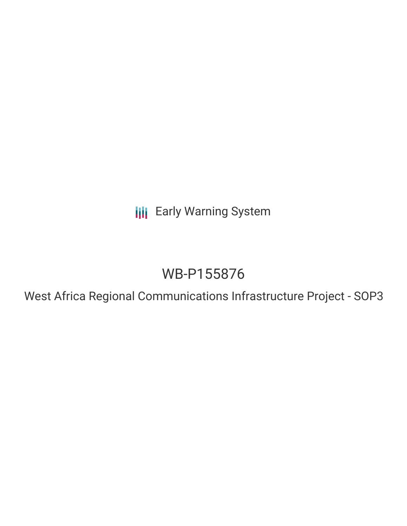**III** Early Warning System

# WB-P155876

West Africa Regional Communications Infrastructure Project - SOP3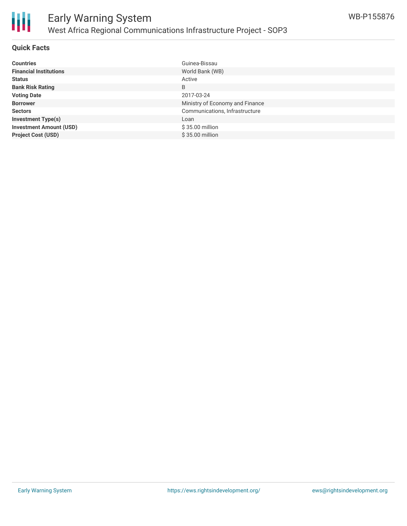

### **Quick Facts**

| <b>Countries</b>               | Guinea-Bissau                   |
|--------------------------------|---------------------------------|
| <b>Financial Institutions</b>  | World Bank (WB)                 |
| <b>Status</b>                  | Active                          |
| <b>Bank Risk Rating</b>        | B                               |
| <b>Voting Date</b>             | 2017-03-24                      |
| <b>Borrower</b>                | Ministry of Economy and Finance |
| <b>Sectors</b>                 | Communications, Infrastructure  |
| <b>Investment Type(s)</b>      | Loan                            |
| <b>Investment Amount (USD)</b> | \$35.00 million                 |
| <b>Project Cost (USD)</b>      | \$35.00 million                 |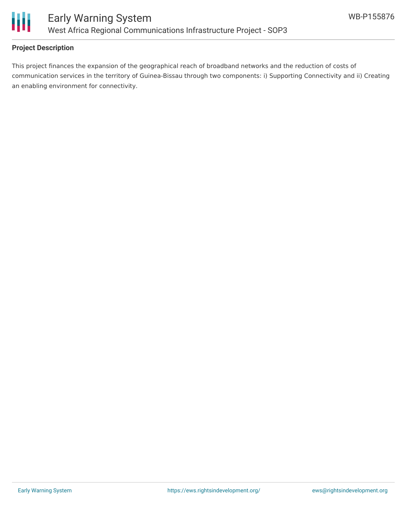

## **Project Description**

This project finances the expansion of the geographical reach of broadband networks and the reduction of costs of communication services in the territory of Guinea-Bissau through two components: i) Supporting Connectivity and ii) Creating an enabling environment for connectivity.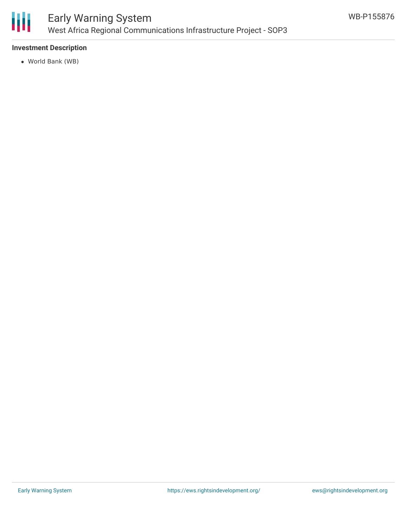

### **Investment Description**

World Bank (WB)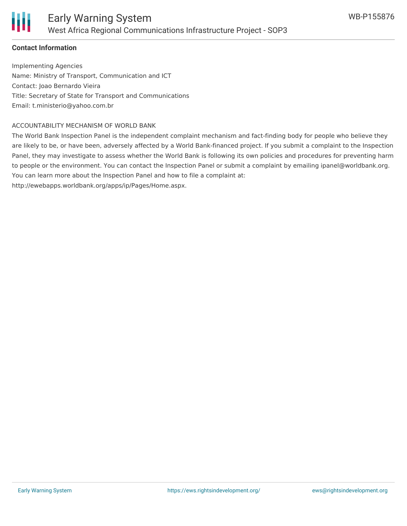

### **Contact Information**

Implementing Agencies Name: Ministry of Transport, Communication and ICT Contact: Joao Bernardo Vieira Title: Secretary of State for Transport and Communications Email: t.ministerio@yahoo.com.br

#### ACCOUNTABILITY MECHANISM OF WORLD BANK

The World Bank Inspection Panel is the independent complaint mechanism and fact-finding body for people who believe they are likely to be, or have been, adversely affected by a World Bank-financed project. If you submit a complaint to the Inspection Panel, they may investigate to assess whether the World Bank is following its own policies and procedures for preventing harm to people or the environment. You can contact the Inspection Panel or submit a complaint by emailing ipanel@worldbank.org. You can learn more about the Inspection Panel and how to file a complaint at:

http://ewebapps.worldbank.org/apps/ip/Pages/Home.aspx.